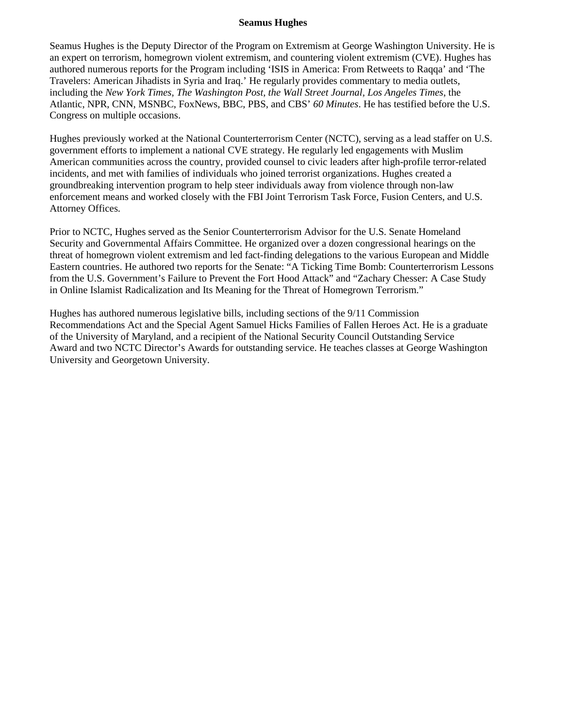## **Seamus Hughes**

Seamus Hughes is the Deputy Director of the Program on Extremism at George Washington University. He is an expert on terrorism, homegrown violent extremism, and countering violent extremism (CVE). Hughes has authored numerous reports for the Program including 'ISIS in America: From Retweets to Raqqa' and 'The Travelers: American Jihadists in Syria and Iraq.' He regularly provides commentary to media outlets, including the *New York Times, The Washington Post, the Wall Street Journal, Los Angeles Times*, the Atlantic, NPR, CNN, MSNBC, FoxNews, BBC, PBS, and CBS' *60 Minutes*. He has testified before the U.S. Congress on multiple occasions.

Hughes previously worked at the National Counterterrorism Center (NCTC), serving as a lead staffer on U.S. government efforts to implement a national CVE strategy. He regularly led engagements with Muslim American communities across the country, provided counsel to civic leaders after high-profile terror-related incidents, and met with families of individuals who joined terrorist organizations. Hughes created a groundbreaking intervention program to help steer individuals away from violence through non-law enforcement means and worked closely with the FBI Joint Terrorism Task Force, Fusion Centers, and U.S. Attorney Offices.

Prior to NCTC, Hughes served as the Senior Counterterrorism Advisor for the U.S. Senate Homeland Security and Governmental Affairs Committee. He organized over a dozen congressional hearings on the threat of homegrown violent extremism and led fact-finding delegations to the various European and Middle Eastern countries. He authored two reports for the Senate: "A Ticking Time Bomb: Counterterrorism Lessons from the U.S. Government's Failure to Prevent the Fort Hood Attack" and "Zachary Chesser: A Case Study in Online Islamist Radicalization and Its Meaning for the Threat of Homegrown Terrorism."

Hughes has authored numerous legislative bills, including sections of the 9/11 Commission Recommendations Act and the Special Agent Samuel Hicks Families of Fallen Heroes Act. He is a graduate of the University of Maryland, and a recipient of the National Security Council Outstanding Service Award and two NCTC Director's Awards for outstanding service. He teaches classes at George Washington University and Georgetown University.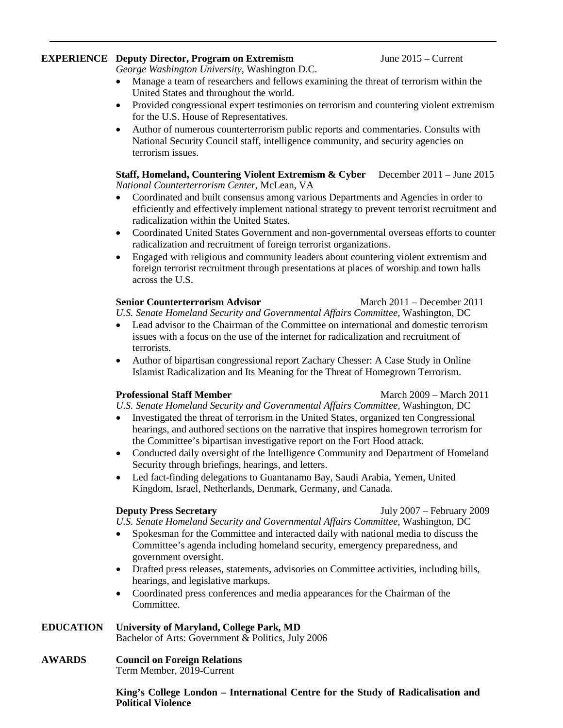# **EXPERIENCE Deputy Director, Program on Extremism** June 2015 – Current

*George Washington University,* Washington D.C.

- Manage a team of researchers and fellows examining the threat of terrorism within the United States and throughout the world.
- Provided congressional expert testimonies on terrorism and countering violent extremism for the U.S. House of Representatives.
- Author of numerous counterterrorism public reports and commentaries. Consults with National Security Council staff, intelligence community, and security agencies on terrorism issues.

**Staff, Homeland, Countering Violent Extremism & Cyber** December 2011 – June 2015 *National Counterterrorism Center,* McLean, VA

- Coordinated and built consensus among various Departments and Agencies in order to efficiently and effectively implement national strategy to prevent terrorist recruitment and radicalization within the United States.
- Coordinated United States Government and non-governmental overseas efforts to counter radicalization and recruitment of foreign terrorist organizations.
- Engaged with religious and community leaders about countering violent extremism and foreign terrorist recruitment through presentations at places of worship and town halls across the U.S.

## **Senior Counterterrorism Advisor** March 2011 – December 2011

*U.S. Senate Homeland Security and Governmental Affairs Committee,* Washington, DC

- Lead advisor to the Chairman of the Committee on international and domestic terrorism issues with a focus on the use of the internet for radicalization and recruitment of terrorists.
- Author of bipartisan congressional report Zachary Chesser: A Case Study in Online Islamist Radicalization and Its Meaning for the Threat of Homegrown Terrorism.

## **Professional Staff Member** March 2009 – March 2011

*U.S. Senate Homeland Security and Governmental Affairs Committee,* Washington, DC

- Investigated the threat of terrorism in the United States, organized ten Congressional hearings, and authored sections on the narrative that inspires homegrown terrorism for the Committee's bipartisan investigative report on the Fort Hood attack.
- Conducted daily oversight of the Intelligence Community and Department of Homeland Security through briefings, hearings, and letters.
- Led fact-finding delegations to Guantanamo Bay, Saudi Arabia, Yemen, United Kingdom, Israel, Netherlands, Denmark, Germany, and Canada.

**Deputy Press Secretary** July 2007 – February 2009

*U.S. Senate Homeland Security and Governmental Affairs Committee*, Washington, DC

- Spokesman for the Committee and interacted daily with national media to discuss the Committee's agenda including homeland security, emergency preparedness, and government oversight.
- Drafted press releases, statements, advisories on Committee activities, including bills, hearings, and legislative markups.
- Coordinated press conferences and media appearances for the Chairman of the Committee.

# **EDUCATION University of Maryland, College Park***,* **MD**

Bachelor of Arts: Government & Politics, July 2006

### **AWARDS Council on Foreign Relations** Term Member, 2019-Current

**King's College London – International Centre for the Study of Radicalisation and Political Violence**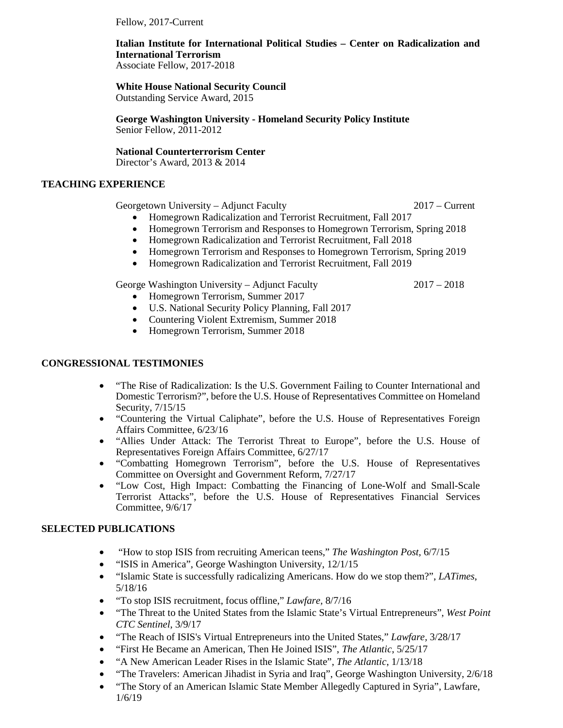Fellow, 2017-Current

# **Italian Institute for International Political Studies – Center on Radicalization and International Terrorism**

Associate Fellow, 2017-2018

**White House National Security Council** 

Outstanding Service Award, 2015

**George Washington University - Homeland Security Policy Institute** Senior Fellow, 2011-2012

**National Counterterrorism Center** Director's Award, 2013 & 2014

# **TEACHING EXPERIENCE**

Georgetown University – Adjunct Faculty 2017 – Current

- Homegrown Radicalization and Terrorist Recruitment, Fall 2017
- Homegrown Terrorism and Responses to Homegrown Terrorism, Spring 2018
- Homegrown Radicalization and Terrorist Recruitment, Fall 2018
- Homegrown Terrorism and Responses to Homegrown Terrorism, Spring 2019
- Homegrown Radicalization and Terrorist Recruitment, Fall 2019

George Washington University – Adjunct Faculty 2017 – 2018 • Homegrown Terrorism, Summer 2017

- U.S. National Security Policy Planning, Fall 2017
- Countering Violent Extremism, Summer 2018
- Homegrown Terrorism, Summer 2018

## **CONGRESSIONAL TESTIMONIES**

- "The Rise of Radicalization: Is the U.S. Government Failing to Counter International and Domestic Terrorism?", before the U.S. House of Representatives Committee on Homeland Security, 7/15/15
- "Countering the Virtual Caliphate", before the U.S. House of Representatives Foreign Affairs Committee, 6/23/16
- "Allies Under Attack: The Terrorist Threat to Europe", before the U.S. House of Representatives Foreign Affairs Committee, 6/27/17
- "Combatting Homegrown Terrorism", before the U.S. House of Representatives Committee on Oversight and Government Reform, 7/27/17
- "Low Cost, High Impact: Combatting the Financing of Lone-Wolf and Small-Scale Terrorist Attacks", before the U.S. House of Representatives Financial Services Committee, 9/6/17

# **SELECTED PUBLICATIONS**

- "How to stop ISIS from recruiting American teens," *The Washington Post,* 6/7/15
- "ISIS in America", George Washington University, 12/1/15
- "Islamic State is successfully radicalizing Americans. How do we stop them?", *LATimes*, 5/18/16
- "To stop ISIS recruitment, focus offline," *Lawfare,* 8/7/16
- "The Threat to the United States from the Islamic State's Virtual Entrepreneurs", *West Point CTC Sentinel*, 3/9/17
- "The Reach of ISIS's Virtual Entrepreneurs into the United States," *Lawfare,* 3/28/17
- "First He Became an American, Then He Joined ISIS", *The Atlantic*, 5/25/17
- "A New American Leader Rises in the Islamic State", *The Atlantic*, 1/13/18
- "The Travelers: American Jihadist in Syria and Iraq", George Washington University, 2/6/18
- "The Story of an American Islamic State Member Allegedly Captured in Syria", Lawfare, 1/6/19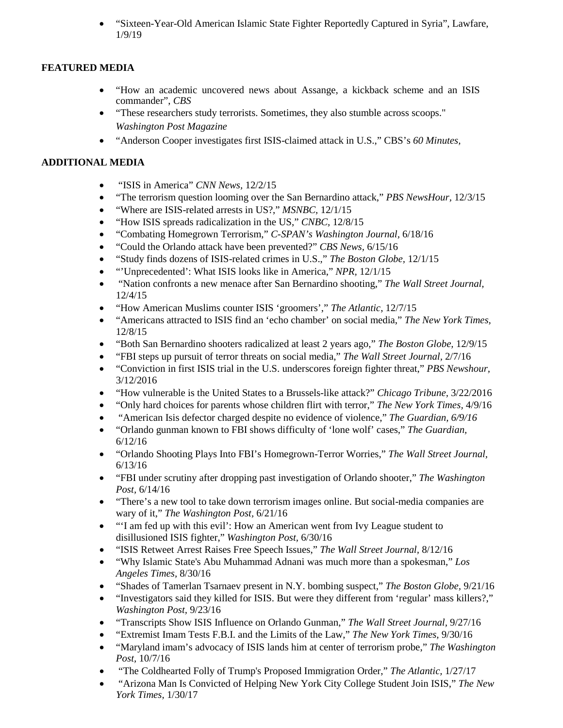• "Sixteen-Year-Old American Islamic State Fighter Reportedly Captured in Syria", Lawfare, 1/9/19

# **FEATURED MEDIA**

- "How an academic uncovered news about Assange, a kickback scheme and an ISIS commander", *CBS*
- "These researchers study terrorists. Sometimes, they also stumble across scoops." *Washington Post Magazine*
- "Anderson Cooper investigates first ISIS-claimed attack in U.S.," CBS's *60 Minutes,*

# **ADDITIONAL MEDIA**

- "ISIS in America" *CNN News,* 12/2/15
- ["The terrorism question looming over the San Bernardino attack,](http://www.pbs.org/newshour/bb/the-terrorism-question-looming-over-the-san-bernardino-attack/)" *PBS NewsHour,* 12/3/15
- "Where are ISIS-related arrests in US?," *MSNBC,* 12/1/15
- "How ISIS spreads radicalization in the US," *CNBC,* 12/8/15
- "Combating Homegrown Terrorism," *C-SPAN's Washington Journal,* 6/18/16
- "Could the Orlando attack have been prevented?" *CBS News,* 6/15/16
- "Study finds dozens of ISIS-related crimes in U.S.," *The Boston Globe,* 12/1/15
- "'Unprecedented': What ISIS looks like in America," *NPR,* 12/1/15
- "Nation confronts a new menace after San Bernardino shooting," *The Wall Street Journal,*  12/4/15
- "How American Muslims counter ISIS 'groomers'," *The Atlantic*, 12/7/15
- "Americans attracted to ISIS find an 'echo chamber' on social media," *The New York Times,*  12/8/15
- "Both San Bernardino shooters radicalized at least 2 years ago," *The Boston Globe,* 12/9/15
- "FBI steps up pursuit of terror threats on social media," *The Wall Street Journal,* 2/7/16
- "Conviction in first ISIS trial in the U.S. underscores foreign fighter threat," *PBS Newshour,*  3/12/2016
- "How vulnerable is the United States to a Brussels-like attack?" *Chicago Tribune,* 3/22/2016
- "Only hard choices for parents whose children flirt with terror," *The New York Times,* 4/9/16
- "American Isis defector charged despite no evidence of violence," *The Guardian, 6/9/16*
- "Orlando gunman known to FBI shows difficulty of 'lone wolf' cases," *The Guardian,*  6/12/16
- "Orlando Shooting Plays Into FBI's Homegrown-Terror Worries," *The Wall Street Journal,*  6/13/16
- "FBI under scrutiny after dropping past investigation of Orlando shooter," *The Washington Post,* 6/14/16
- "There's a new tool to take down terrorism images online. But social-media companies are wary of it," *The Washington Post,* 6/21/16
- "I am fed up with this evil': How an American went from Ivy League student to disillusioned ISIS fighter," *Washington Post,* 6/30/16
- "ISIS Retweet Arrest Raises Free Speech Issues," *The Wall Street Journal,* 8/12/16
- "Why Islamic State's Abu Muhammad Adnani was much more than a spokesman," *Los Angeles Times,* 8/30/16
- "Shades of Tamerlan Tsarnaev present in N.Y. bombing suspect," *The Boston Globe,* 9/21/16
- "Investigators said they killed for ISIS. But were they different from 'regular' mass killers?," *Washington Post,* 9/23/16
- "Transcripts Show ISIS Influence on Orlando Gunman," *The Wall Street Journal,* 9/27/16
- "Extremist Imam Tests F.B.I. and the Limits of the Law," *The New York Times,* 9/30/16
- "Maryland imam's advocacy of ISIS lands him at center of terrorism probe," *The Washington Post,* 10/7/16
- "The Coldhearted Folly of Trump's Proposed Immigration Order," *The Atlantic,* 1/27/17
- "Arizona Man Is Convicted of Helping New York City College Student Join ISIS," *The New York Times,* 1/30/17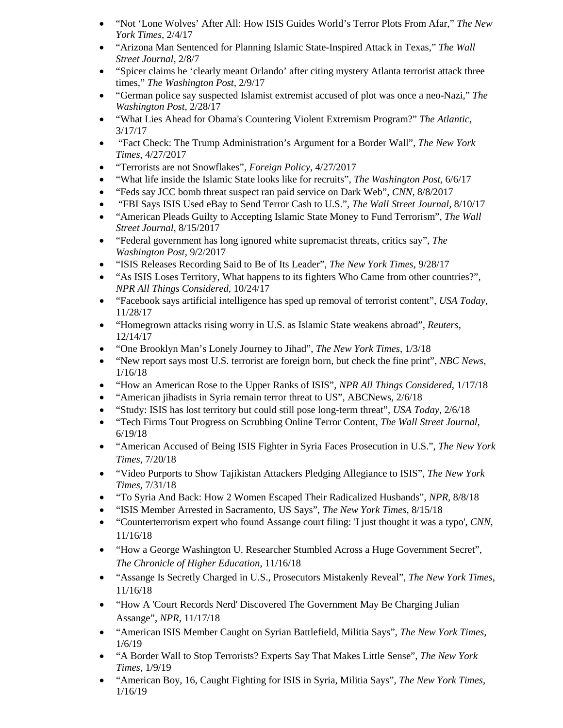- "Not 'Lone Wolves' After All: How ISIS Guides World's Terror Plots From Afar," *The New York Times,* 2/4/17
- "Arizona Man Sentenced for Planning Islamic State-Inspired Attack in Texas," *The Wall Street Journal,* 2/8/7
- "Spicer claims he 'clearly meant Orlando' after citing mystery Atlanta terrorist attack three times," *The Washington Post,* 2/9/17
- "German police say suspected Islamist extremist accused of plot was once a neo-Nazi," *The Washington Post,* 2/28/17
- "What Lies Ahead for Obama's Countering Violent Extremism Program?" *The Atlantic,*  3/17/17
- "Fact Check: The Trump Administration's Argument for a Border Wall", *The New York Times*, 4/27/2017
- "Terrorists are not Snowflakes", *Foreign Policy,* 4/27/2017
- "What life inside the Islamic State looks like for recruits", *The Washington Post,* 6/6/17
- "Feds say JCC bomb threat suspect ran paid service on Dark Web", *CNN,* 8/8/2017
- "FBI Says ISIS Used eBay to Send Terror Cash to U.S.", *The Wall Street Journal,* 8/10/17
- "American Pleads Guilty to Accepting Islamic State Money to Fund Terrorism", *The Wall Street Journal,* 8/15/2017
- "Federal government has long ignored white supremacist threats, critics say", *The Washington Post,* 9/2/2017
- "ISIS Releases Recording Said to Be of Its Leader", *The New York Times*, 9/28/17
- "As ISIS Loses Territory, What happens to its fighters Who Came from other countries?", *NPR All Things Considered*, 10/24/17
- "Facebook says artificial intelligence has sped up removal of terrorist content", *USA Today*, 11/28/17
- "Homegrown attacks rising worry in U.S. as Islamic State weakens abroad", *Reuters*, 12/14/17
- "One Brooklyn Man's Lonely Journey to Jihad", *The New York Times*, 1/3/18
- "New report says most U.S. terrorist are foreign born, but check the fine print", *NBC News*, 1/16/18
- "How an American Rose to the Upper Ranks of ISIS", *NPR All Things Considered*, 1/17/18
- "American jihadists in Syria remain terror threat to US", ABCNews, 2/6/18
- "Study: ISIS has lost territory but could still pose long-term threat", *USA Today*, 2/6/18
- "Tech Firms Tout Progress on Scrubbing Online Terror Content, *The Wall Street Journal*, 6/19/18
- "American Accused of Being ISIS Fighter in Syria Faces Prosecution in U.S.", *The New York Times*, 7/20/18
- "Video Purports to Show Tajikistan Attackers Pledging Allegiance to ISIS", *The New York Times*, 7/31/18
- "To Syria And Back: How 2 Women Escaped Their Radicalized Husbands", *NPR*, 8/8/18
- "ISIS Member Arrested in Sacramento, US Says", *The New York Times*, 8/15/18
- "Counterterrorism expert who found Assange court filing: 'I just thought it was a typo', *CNN*, 11/16/18
- "How a George Washington U. Researcher Stumbled Across a Huge Government Secret", *The Chronicle of Higher Education*, 11/16/18
- "Assange Is Secretly Charged in U.S., Prosecutors Mistakenly Reveal", *The New York Times*, 11/16/18
- "How A 'Court Records Nerd' Discovered The Government May Be Charging Julian Assange", *NPR*, 11/17/18
- "American ISIS Member Caught on Syrian Battlefield, Militia Says", *The New York Times*, 1/6/19
- "A Border Wall to Stop Terrorists? Experts Say That Makes Little Sense", *The New York Times*, 1/9/19
- "American Boy, 16, Caught Fighting for ISIS in Syria, Militia Says", *The New York Times*, 1/16/19